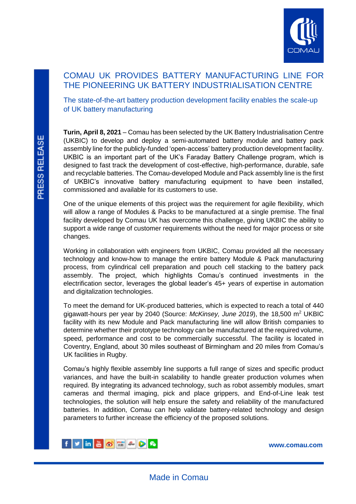

# COMAU UK PROVIDES BATTERY MANUFACTURING LINE FOR THE PIONEERING UK BATTERY INDUSTRIALISATION CENTRE

The state-of-the-art battery production development facility enables the scale-up of UK battery manufacturing

**Turin, April 8, 2021** – Comau has been selected by the UK Battery Industrialisation Centre (UKBIC) to develop and deploy a semi-automated battery module and battery pack assembly line for the publicly-funded 'open-access' battery production development facility. UKBIC is an important part of the UK's Faraday Battery Challenge program, which is designed to fast track the development of cost-effective, high-performance, durable, safe and recyclable batteries. The Comau-developed Module and Pack assembly line is the first of UKBIC's innovative battery manufacturing equipment to have been installed, commissioned and available for its customers to use.

One of the unique elements of this project was the requirement for agile flexibility, which will allow a range of Modules & Packs to be manufactured at a single premise. The final facility developed by Comau UK has overcome this challenge, giving UKBIC the ability to support a wide range of customer requirements without the need for major process or site changes.

Working in collaboration with engineers from UKBIC, Comau provided all the necessary technology and know-how to manage the entire battery Module & Pack manufacturing process, from cylindrical cell preparation and pouch cell stacking to the battery pack assembly. The project, which highlights Comau's continued investments in the electrification sector, leverages the global leader's 45+ years of expertise in automation and digitalization technologies.

To meet the demand for UK-produced batteries, which is expected to reach a total of 440 gigawatt-hours per year by 2040 (Source: *McKinsey, June 2019*), the 18,500 m<sup>2</sup> UKBIC facility with its new Module and Pack manufacturing line will allow British companies to determine whether their prototype technology can be manufactured at the required volume, speed, performance and cost to be commercially successful. The facility is located in Coventry, England, about 30 miles southeast of Birmingham and 20 miles from Comau's UK facilities in Rugby.

Comau's highly flexible assembly line supports a full range of sizes and specific product variances, and have the built-in scalability to handle greater production volumes when required. By integrating its advanced technology, such as robot assembly modules, smart cameras and thermal imaging, pick and place grippers, and End-of-Line leak test technologies, the solution will help ensure the safety and reliability of the manufactured batteries. In addition, Comau can help validate battery-related technology and design parameters to further increase the efficiency of the proposed solutions.



**[www.comau.com](http://www.comau.com/EN)**

L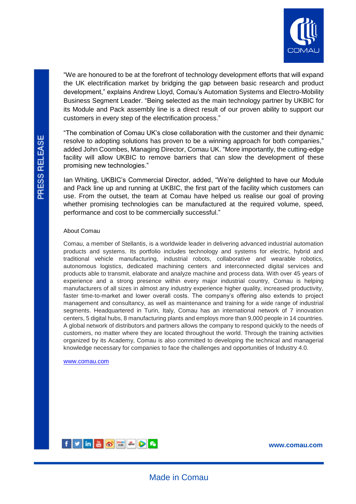

"We are honoured to be at the forefront of technology development efforts that will expand the UK electrification market by bridging the gap between basic research and product development," explains Andrew Lloyd, Comau's Automation Systems and Electro-Mobility Business Segment Leader. "Being selected as the main technology partner by UKBIC for its Module and Pack assembly line is a direct result of our proven ability to support our customers in every step of the electrification process."

"The combination of Comau UK's close collaboration with the customer and their dynamic resolve to adopting solutions has proven to be a winning approach for both companies," added John Coombes, Managing Director, Comau UK. "More importantly, the cutting-edge facility will allow UKBIC to remove barriers that can slow the development of these promising new technologies."

Ian Whiting, UKBIC's Commercial Director, added, "We're delighted to have our Module and Pack line up and running at UKBIC, the first part of the facility which customers can use. From the outset, the team at Comau have helped us realise our goal of proving whether promising technologies can be manufactured at the required volume, speed, performance and cost to be commercially successful."

## About Comau

Comau, a member of Stellantis, is a worldwide leader in delivering advanced industrial automation products and systems. Its portfolio includes technology and systems for electric, hybrid and traditional vehicle manufacturing, industrial robots, collaborative and wearable robotics, autonomous logistics, dedicated machining centers and interconnected digital services and products able to transmit, elaborate and analyze machine and process data. With over 45 years of experience and a strong presence within every major industrial country, Comau is helping manufacturers of all sizes in almost any industry experience higher quality, increased productivity, faster time-to-market and lower overall costs. The company's offering also extends to project management and consultancy, as well as maintenance and training for a wide range of industrial segments. Headquartered in Turin, Italy, Comau has an international network of 7 innovation centers, 5 digital hubs, 8 manufacturing plants and employs more than 9,000 people in 14 countries. A global network of distributors and partners allows the company to respond quickly to the needs of customers, no matter where they are located throughout the world. Through the training activities organized by its Academy, Comau is also committed to developing the technical and managerial knowledge necessary for companies to face the challenges and opportunities of Industry 4.0.

## [www.comau.com](http://www.comau.com/)



**[www.comau.com](http://www.comau.com/EN)**

L